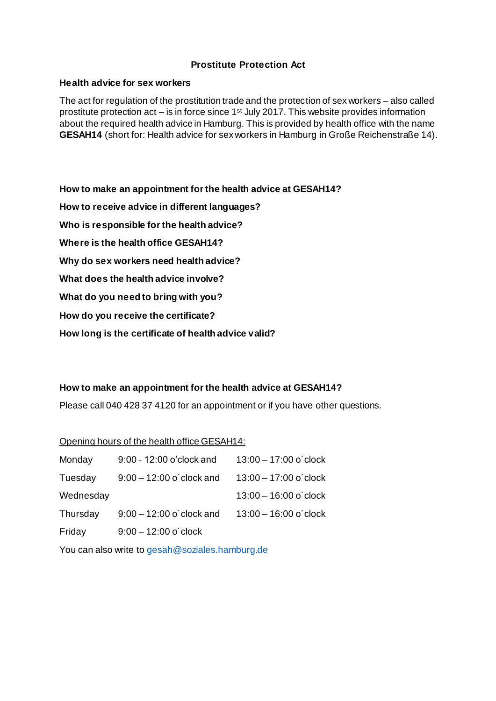# **Prostitute Protection Act**

#### **Health advice for sex workers**

The act for regulation of the prostitution trade and the protection of sex workers – also called prostitute protection act – is in force since  $1<sup>st</sup>$  July 2017. This website provides information about the required health advice in Hamburg. This is provided by health office with the name **GESAH14** (short for: Health advice for sex workers in Hamburg in Große Reichenstraße 14).

**How to make an appointment for the health advice at GESAH14? How to receive advice in different languages? Who is responsible for the health advice? Where is the health office GESAH14? Why do sex workers need health advice? What does the health advice involve? What do you need to bring with you? How do you receive the certificate? How long is the certificate of health advice valid?**

### **How to make an appointment for the health advice at GESAH14?**

Please call 040 428 37 4120 for an appointment or if you have other questions.

#### Opening hours of the health office GESAH14:

| Monday    | 9:00 - 12:00 o'clock and   | $13:00 - 17:00$ o'clock |
|-----------|----------------------------|-------------------------|
| Tuesday   | $9:00 - 12:00$ o'clock and | $13:00 - 17:00$ o'clock |
| Wednesday |                            | $13:00 - 16:00$ o'clock |
| Thursday  | $9:00 - 12:00$ o'clock and | $13:00 - 16:00$ o'clock |
| Friday    | $9:00 - 12:00$ o'clock     |                         |

You can also write to [gesah@soziales.hamburg.de](mailto:gesah@soziales.hamburg.de)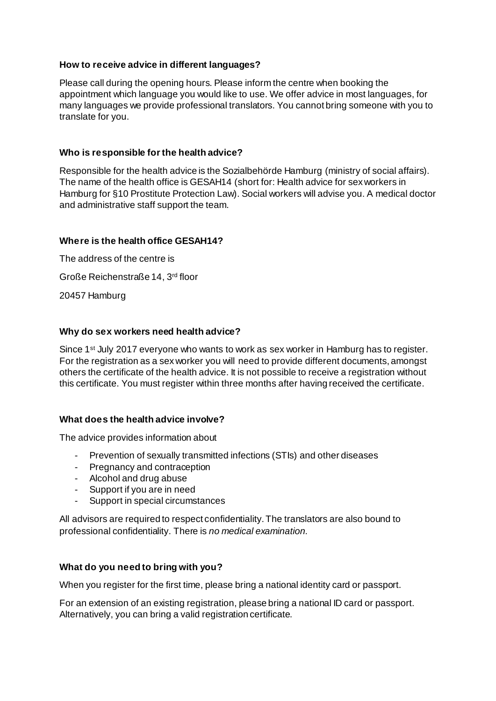## **How to receive advice in different languages?**

Please call during the opening hours. Please inform the centre when booking the appointment which language you would like to use. We offer advice in most languages, for many languages we provide professional translators. You cannot bring someone with you to translate for you.

## **Who is responsible for the health advice?**

Responsible for the health advice is the Sozialbehörde Hamburg (ministry of social affairs). The name of the health office is GESAH14 (short for: Health advice for sex workers in Hamburg for §10 Prostitute Protection Law). Social workers will advise you. A medical doctor and administrative staff support the team.

## **Where is the health office GESAH14?**

The address of the centre is Große Reichenstraße 14, 3rd floor 20457 Hamburg

## **Why do sex workers need health advice?**

Since 1<sup>st</sup> July 2017 everyone who wants to work as sex worker in Hamburg has to register. For the registration as a sex worker you will need to provide different documents, amongst others the certificate of the health advice. It is not possible to receive a registration without this certificate. You must register within three months after having received the certificate.

# **What does the health advice involve?**

The advice provides information about

- Prevention of sexually transmitted infections (STIs) and other diseases
- Pregnancy and contraception
- Alcohol and drug abuse
- Support if you are in need
- Support in special circumstances

All advisors are required to respect confidentiality.The translators are also bound to professional confidentiality. There is *no medical examination.*

# **What do you need to bring with you?**

When you register for the first time, please bring a national identity card or passport.

For an extension of an existing registration, please bring a national ID card or passport. Alternatively, you can bring a valid registration certificate.